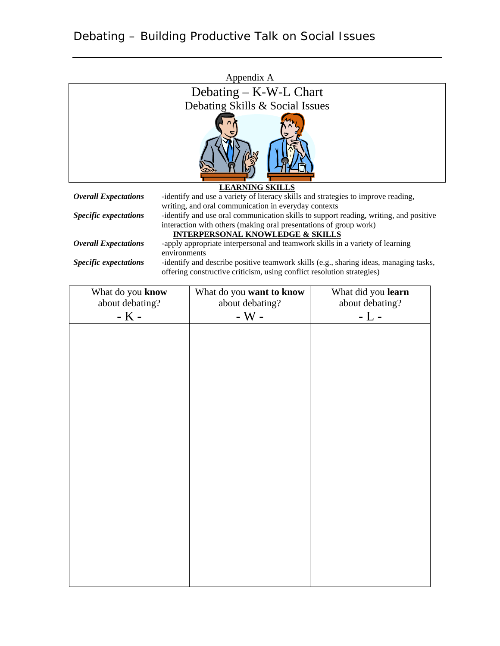|                              | Appendix A                                                                                                                                                      |
|------------------------------|-----------------------------------------------------------------------------------------------------------------------------------------------------------------|
|                              | Debating $-$ K-W-L Chart                                                                                                                                        |
|                              | Debating Skills & Social Issues                                                                                                                                 |
|                              |                                                                                                                                                                 |
|                              | <b>LEARNING SKILLS</b>                                                                                                                                          |
| <b>Overall Expectations</b>  | -identify and use a variety of literacy skills and strategies to improve reading,<br>writing, and oral communication in everyday contexts                       |
| <i>Specific expectations</i> | -identify and use oral communication skills to support reading, writing, and positive<br>interaction with others (making oral presentations of group work)      |
|                              | INTERPERSONAL KNOWLEDGE & SKILLS                                                                                                                                |
| <b>Overall Expectations</b>  | -apply appropriate interpersonal and teamwork skills in a variety of learning                                                                                   |
|                              | environments                                                                                                                                                    |
| <b>Specific expectations</b> | -identify and describe positive teamwork skills (e.g., sharing ideas, managing tasks,<br>offering constructive criticism, using conflict resolution strategies) |
|                              |                                                                                                                                                                 |

| What do you know | What do you want to know | What did you learn |
|------------------|--------------------------|--------------------|
| about debating?  | about debating?          | about debating?    |
| - K -            | - $W$ -                  | - L -              |
|                  |                          |                    |
|                  |                          |                    |
|                  |                          |                    |
|                  |                          |                    |
|                  |                          |                    |
|                  |                          |                    |
|                  |                          |                    |
|                  |                          |                    |
|                  |                          |                    |
|                  |                          |                    |
|                  |                          |                    |
|                  |                          |                    |
|                  |                          |                    |
|                  |                          |                    |
|                  |                          |                    |
|                  |                          |                    |
|                  |                          |                    |
|                  |                          |                    |
|                  |                          |                    |
|                  |                          |                    |
|                  |                          |                    |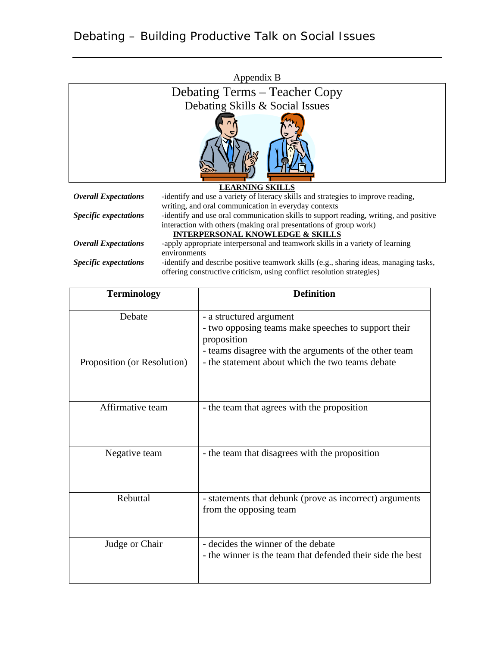|                                 | Appendix B                                                                            |  |
|---------------------------------|---------------------------------------------------------------------------------------|--|
|                                 | Debating Terms – Teacher Copy                                                         |  |
| Debating Skills & Social Issues |                                                                                       |  |
|                                 |                                                                                       |  |
| <b>LEARNING SKILLS</b>          |                                                                                       |  |
| <b>Overall Expectations</b>     | -identify and use a variety of literacy skills and strategies to improve reading,     |  |
|                                 | writing, and oral communication in everyday contexts                                  |  |
| <i>Specific expectations</i>    | -identify and use oral communication skills to support reading, writing, and positive |  |
|                                 | interaction with others (making oral presentations of group work)                     |  |
|                                 | <b>INTERPERSONAL KNOWLEDGE &amp; SKILLS</b>                                           |  |
| <b>Overall Expectations</b>     | -apply appropriate interpersonal and teamwork skills in a variety of learning         |  |
|                                 | environments                                                                          |  |

*Specific expectations* -identify and describe positive teamwork skills (e.g., sharing ideas, managing tasks, offering constructive criticism, using conflict resolution strategies)

| <b>Terminology</b>          | <b>Definition</b>                                                                                                                                      |
|-----------------------------|--------------------------------------------------------------------------------------------------------------------------------------------------------|
| Debate                      | - a structured argument<br>- two opposing teams make speeches to support their<br>proposition<br>- teams disagree with the arguments of the other team |
| Proposition (or Resolution) | - the statement about which the two teams debate                                                                                                       |
| Affirmative team            | - the team that agrees with the proposition                                                                                                            |
| Negative team               | - the team that disagrees with the proposition                                                                                                         |
| Rebuttal                    | - statements that debunk (prove as incorrect) arguments<br>from the opposing team                                                                      |
| Judge or Chair              | - decides the winner of the debate<br>- the winner is the team that defended their side the best                                                       |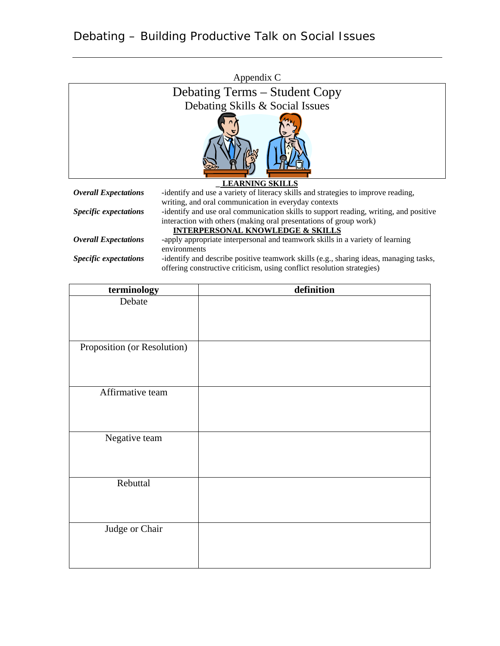|                                             | Appendix C                                                                                 |  |
|---------------------------------------------|--------------------------------------------------------------------------------------------|--|
|                                             | Debating Terms – Student Copy                                                              |  |
|                                             | Debating Skills & Social Issues                                                            |  |
|                                             |                                                                                            |  |
| <b>LEARNING SKILLS</b>                      |                                                                                            |  |
| <b>Overall Expectations</b>                 | -identify and use a variety of literacy skills and strategies to improve reading,          |  |
|                                             | writing, and oral communication in everyday contexts                                       |  |
| <i><b>Specific expectations</b></i>         | -identify and use oral communication skills to support reading, writing, and positive      |  |
|                                             | interaction with others (making oral presentations of group work)                          |  |
| <b>INTERPERSONAL KNOWLEDGE &amp; SKILLS</b> |                                                                                            |  |
| <b>Overall Expectations</b>                 | -apply appropriate interpersonal and teamwork skills in a variety of learning              |  |
|                                             | environments                                                                               |  |
| Caracters and actual and                    | idantific and dasantha mastrice transcending little (and otherwise ideas, meanwaise tradic |  |

| <b>Specific expectations</b> | -identify and describe positive teamwork skills (e.g., sharing ideas, managing tasks, |
|------------------------------|---------------------------------------------------------------------------------------|
|                              | offering constructive criticism, using conflict resolution strategies)                |

| terminology                 | definition |
|-----------------------------|------------|
| Debate                      |            |
|                             |            |
|                             |            |
|                             |            |
| Proposition (or Resolution) |            |
|                             |            |
|                             |            |
|                             |            |
| Affirmative team            |            |
|                             |            |
|                             |            |
|                             |            |
| Negative team               |            |
|                             |            |
|                             |            |
| Rebuttal                    |            |
|                             |            |
|                             |            |
|                             |            |
| Judge or Chair              |            |
|                             |            |
|                             |            |
|                             |            |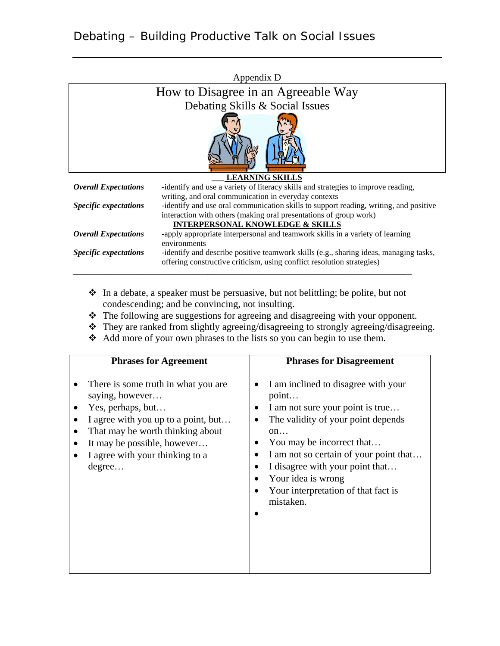|                              | Appendix D                                                                            |
|------------------------------|---------------------------------------------------------------------------------------|
|                              | How to Disagree in an Agreeable Way                                                   |
|                              | Debating Skills & Social Issues                                                       |
|                              |                                                                                       |
|                              | <b>LEARNING SKILLS</b>                                                                |
| <b>Overall Expectations</b>  | -identify and use a variety of literacy skills and strategies to improve reading,     |
|                              | writing, and oral communication in everyday contexts                                  |
| <b>Specific expectations</b> | -identify and use oral communication skills to support reading, writing, and positive |
|                              | interaction with others (making oral presentations of group work)                     |
|                              | <b>INTERPERSONAL KNOWLEDGE &amp; SKILLS</b>                                           |
| <b>Overall Expectations</b>  | -apply appropriate interpersonal and teamwork skills in a variety of learning         |
|                              | environments                                                                          |
| <i>Specific expectations</i> | -identify and describe positive teamwork skills (e.g., sharing ideas, managing tasks, |
|                              | offering constructive criticism, using conflict resolution strategies)                |
|                              |                                                                                       |

- In a debate, a speaker must be persuasive, but not belittling; be polite, but not condescending; and be convincing, not insulting.
- The following are suggestions for agreeing and disagreeing with your opponent.
- They are ranked from slightly agreeing/disagreeing to strongly agreeing/disagreeing.
- Add more of your own phrases to the lists so you can begin to use them.

| <b>Phrases for Agreement</b>                                                                                                                                                                                                       | <b>Phrases for Disagreement</b>                                                                                                                                                                                                                                                                                  |
|------------------------------------------------------------------------------------------------------------------------------------------------------------------------------------------------------------------------------------|------------------------------------------------------------------------------------------------------------------------------------------------------------------------------------------------------------------------------------------------------------------------------------------------------------------|
| There is some truth in what you are<br>saying, however<br>Yes, perhaps, but<br>I agree with you up to a point, but<br>That may be worth thinking about<br>It may be possible, however<br>I agree with your thinking to a<br>degree | I am inclined to disagree with your<br>point<br>I am not sure your point is true<br>The validity of your point depends<br>on<br>You may be incorrect that<br>I am not so certain of your point that<br>I disagree with your point that<br>Your idea is wrong<br>Your interpretation of that fact is<br>mistaken. |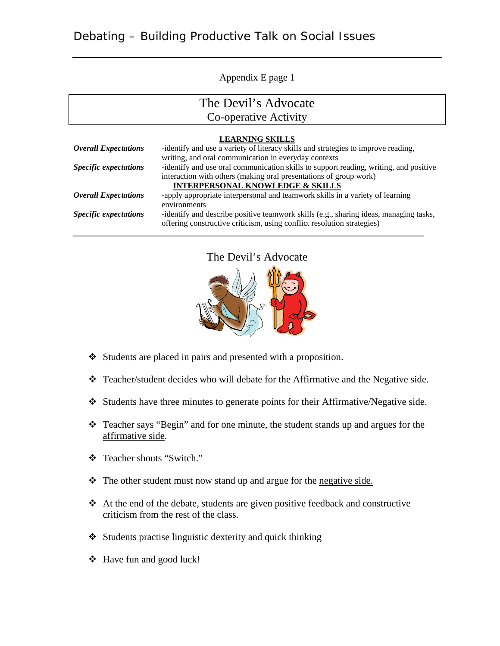Appendix E page 1

## The Devil's Advocate

Co-operative Activity

|                              | <b>LEARNING SKILLS</b>                                                                |
|------------------------------|---------------------------------------------------------------------------------------|
| <b>Overall Expectations</b>  | -identify and use a variety of literacy skills and strategies to improve reading,     |
|                              | writing, and oral communication in everyday contexts                                  |
| <b>Specific expectations</b> | -identify and use oral communication skills to support reading, writing, and positive |
|                              | interaction with others (making oral presentations of group work)                     |
|                              | <b>INTERPERSONAL KNOWLEDGE &amp; SKILLS</b>                                           |
| <b>Overall Expectations</b>  | -apply appropriate interpersonal and teamwork skills in a variety of learning         |
|                              | environments                                                                          |
| <b>Specific expectations</b> | -identify and describe positive teamwork skills (e.g., sharing ideas, managing tasks, |
|                              | offering constructive criticism, using conflict resolution strategies)                |
|                              |                                                                                       |

The Devil's Advocate



- Students are placed in pairs and presented with a proposition.
- Teacher/student decides who will debate for the Affirmative and the Negative side.
- Students have three minutes to generate points for their Affirmative/Negative side.
- Teacher says "Begin" and for one minute, the student stands up and argues for the affirmative side.
- Teacher shouts "Switch."
- $\cdot \cdot$  The other student must now stand up and argue for the negative side.
- $\triangle$  At the end of the debate, students are given positive feedback and constructive criticism from the rest of the class.
- $\triangle$  Students practise linguistic dexterity and quick thinking
- Have fun and good luck!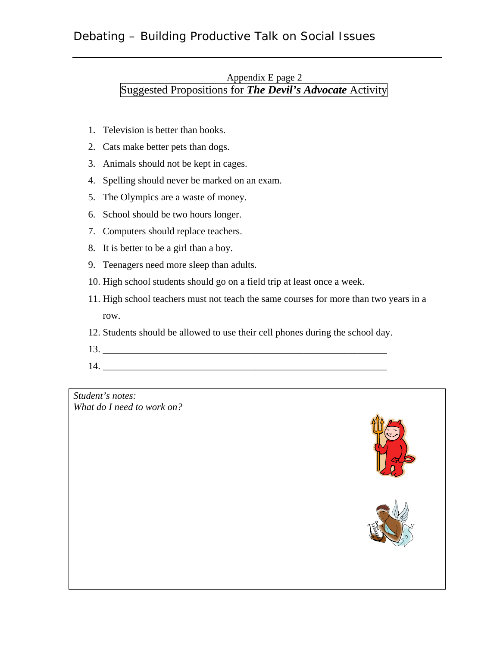## Debating – Building Productive Talk on Social Issues

#### Appendix E page 2 Suggested Propositions for *The Devil's Advocate* Activity

- 1. Television is better than books.
- 2. Cats make better pets than dogs.
- 3. Animals should not be kept in cages.
- 4. Spelling should never be marked on an exam.
- 5. The Olympics are a waste of money.
- 6. School should be two hours longer.
- 7. Computers should replace teachers.
- 8. It is better to be a girl than a boy.
- 9. Teenagers need more sleep than adults.
- 10. High school students should go on a field trip at least once a week.
- 11. High school teachers must not teach the same courses for more than two years in a row.
- 12. Students should be allowed to use their cell phones during the school day.
- 13. \_\_\_\_\_\_\_\_\_\_\_\_\_\_\_\_\_\_\_\_\_\_\_\_\_\_\_\_\_\_\_\_\_\_\_\_\_\_\_\_\_\_\_\_\_\_\_\_\_\_\_\_\_\_\_\_\_\_
- 14. \_\_\_\_\_\_\_\_\_\_\_\_\_\_\_\_\_\_\_\_\_\_\_\_\_\_\_\_\_\_\_\_\_\_\_\_\_\_\_\_\_\_\_\_\_\_\_\_\_\_\_\_\_\_\_\_\_\_

*Student's notes: What do I need to work on?*

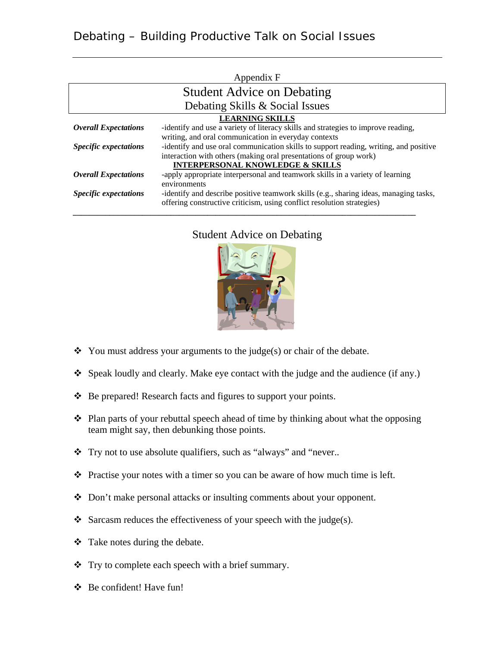|                              | Appendix F                                                                            |  |
|------------------------------|---------------------------------------------------------------------------------------|--|
|                              | <b>Student Advice on Debating</b>                                                     |  |
|                              | Debating Skills & Social Issues                                                       |  |
| <b>LEARNING SKILLS</b>       |                                                                                       |  |
| <b>Overall Expectations</b>  | -identify and use a variety of literacy skills and strategies to improve reading,     |  |
|                              | writing, and oral communication in everyday contexts                                  |  |
| <b>Specific expectations</b> | -identify and use oral communication skills to support reading, writing, and positive |  |
|                              | interaction with others (making oral presentations of group work)                     |  |
|                              | <b>INTERPERSONAL KNOWLEDGE &amp; SKILLS</b>                                           |  |
| <b>Overall Expectations</b>  | -apply appropriate interpersonal and teamwork skills in a variety of learning         |  |
|                              | environments                                                                          |  |
| <i>Specific expectations</i> | -identify and describe positive teamwork skills (e.g., sharing ideas, managing tasks, |  |
|                              | offering constructive criticism, using conflict resolution strategies)                |  |

## Student Advice on Debating

*\_\_\_\_\_\_\_\_\_\_\_\_\_\_\_\_\_\_\_\_\_\_\_\_\_\_\_\_\_\_\_\_\_\_\_\_\_\_\_\_\_\_\_\_\_\_\_\_\_\_\_\_\_\_\_\_\_\_\_\_\_\_\_\_\_\_\_\_\_\_\_\_\_\_\_\_\_\_\_\_\_\_\_\_*



- $\bullet$  You must address your arguments to the judge(s) or chair of the debate.
- Speak loudly and clearly. Make eye contact with the judge and the audience (if any.)
- \* Be prepared! Research facts and figures to support your points.
- $\triangle$  Plan parts of your rebuttal speech ahead of time by thinking about what the opposing team might say, then debunking those points.
- \* Try not to use absolute qualifiers, such as "always" and "never..
- $\triangle$  Practise your notes with a timer so you can be aware of how much time is left.
- Don't make personal attacks or insulting comments about your opponent.
- $\triangleleft$  Sarcasm reduces the effectiveness of your speech with the judge(s).
- Take notes during the debate.
- Try to complete each speech with a brief summary.
- Be confident! Have fun!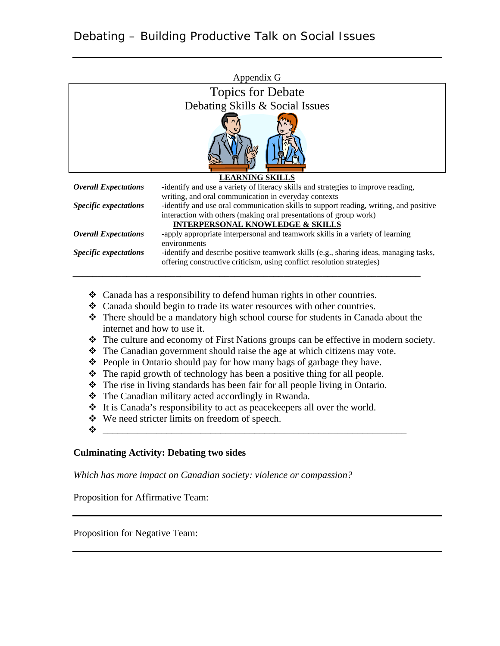|                              | Appendix G                                                                                                                                                                                                                                                        |
|------------------------------|-------------------------------------------------------------------------------------------------------------------------------------------------------------------------------------------------------------------------------------------------------------------|
|                              | <b>Topics for Debate</b>                                                                                                                                                                                                                                          |
|                              | Debating Skills & Social Issues                                                                                                                                                                                                                                   |
|                              |                                                                                                                                                                                                                                                                   |
|                              | <b>LEARNING SKILLS</b>                                                                                                                                                                                                                                            |
| <b>Overall Expectations</b>  | -identify and use a variety of literacy skills and strategies to improve reading,                                                                                                                                                                                 |
| <b>Specific expectations</b> | writing, and oral communication in everyday contexts<br>-identify and use oral communication skills to support reading, writing, and positive<br>interaction with others (making oral presentations of group work)<br><b>INTERPERSONAL KNOWLEDGE &amp; SKILLS</b> |
| <b>Overall Expectations</b>  | -apply appropriate interpersonal and teamwork skills in a variety of learning<br>environments                                                                                                                                                                     |
| <b>Specific expectations</b> | -identify and describe positive teamwork skills (e.g., sharing ideas, managing tasks,<br>offering constructive criticism, using conflict resolution strategies)                                                                                                   |

- Canada has a responsibility to defend human rights in other countries.
- Canada should begin to trade its water resources with other countries.
- There should be a mandatory high school course for students in Canada about the internet and how to use it.
- The culture and economy of First Nations groups can be effective in modern society.
- $\triangle$  The Canadian government should raise the age at which citizens may vote.
- People in Ontario should pay for how many bags of garbage they have.
- $\triangle$  The rapid growth of technology has been a positive thing for all people.
- The rise in living standards has been fair for all people living in Ontario.
- \* The Canadian military acted accordingly in Rwanda.
- $\cdot \cdot$  It is Canada's responsibility to act as peacekeepers all over the world.
- We need stricter limits on freedom of speech.
- $\bm{\phi}$  , we are also assumed as a set of the set of the set of the set of the set of the set of the set of the set of the set of the set of the set of the set of the set of the set of the set of the set of the set of the

#### **Culminating Activity: Debating two sides**

*Which has more impact on Canadian society: violence or compassion?* 

Proposition for Affirmative Team:

Proposition for Negative Team: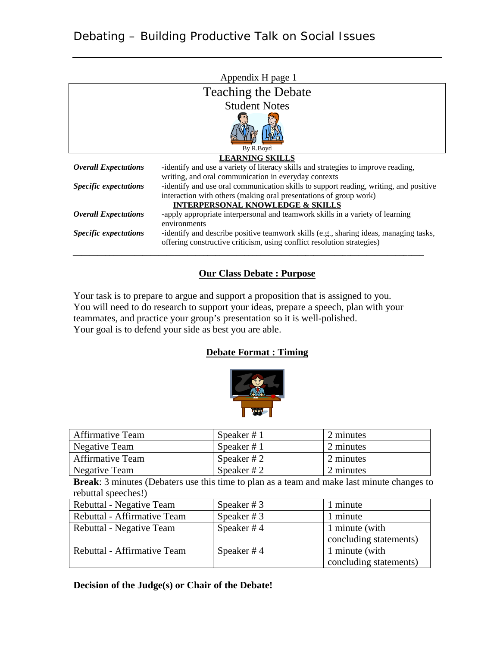| Appendix H page 1                                                 |                                                                                       |  |  |  |
|-------------------------------------------------------------------|---------------------------------------------------------------------------------------|--|--|--|
| <b>Teaching the Debate</b>                                        |                                                                                       |  |  |  |
|                                                                   | <b>Student Notes</b>                                                                  |  |  |  |
|                                                                   |                                                                                       |  |  |  |
| By R.Boyd<br><b>LEARNING SKILLS</b>                               |                                                                                       |  |  |  |
| <b>Overall Expectations</b>                                       | -identify and use a variety of literacy skills and strategies to improve reading,     |  |  |  |
| writing, and oral communication in everyday contexts              |                                                                                       |  |  |  |
| <b>Specific expectations</b>                                      | -identify and use oral communication skills to support reading, writing, and positive |  |  |  |
| interaction with others (making oral presentations of group work) |                                                                                       |  |  |  |
|                                                                   | <b>INTERPERSONAL KNOWLEDGE &amp; SKILLS</b>                                           |  |  |  |
| <b>Overall Expectations</b>                                       | -apply appropriate interpersonal and teamwork skills in a variety of learning         |  |  |  |
|                                                                   | environments                                                                          |  |  |  |
| <i><b>Specific expectations</b></i>                               | -identify and describe positive teamwork skills (e.g., sharing ideas, managing tasks, |  |  |  |
|                                                                   | offering constructive criticism, using conflict resolution strategies)                |  |  |  |
|                                                                   |                                                                                       |  |  |  |

#### **Our Class Debate : Purpose**

Your task is to prepare to argue and support a proposition that is assigned to you. You will need to do research to support your ideas, prepare a speech, plan with your teammates, and practice your group's presentation so it is well-polished. Your goal is to defend your side as best you are able.

#### **Debate Format : Timing**



| <b>Affirmative Team</b> | Speaker $# 1$ | 2 minutes |
|-------------------------|---------------|-----------|
| Negative Team           | Speaker $# 1$ | 2 minutes |
| <b>Affirmative Team</b> | Speaker # $2$ | 2 minutes |
| Negative Team           | Speaker # $2$ | 2 minutes |

**Break**: 3 minutes (Debaters use this time to plan as a team and make last minute changes to rebuttal speeches!)

| Rebuttal - Negative Team    | Speaker $# 3$ | 1 minute               |
|-----------------------------|---------------|------------------------|
| Rebuttal - Affirmative Team | Speaker $# 3$ | 1 minute               |
| Rebuttal - Negative Team    | Speaker # $4$ | 1 minute (with         |
|                             |               | concluding statements) |
| Rebuttal - Affirmative Team | Speaker # $4$ | 1 minute (with         |
|                             |               | concluding statements) |

#### **Decision of the Judge(s) or Chair of the Debate!**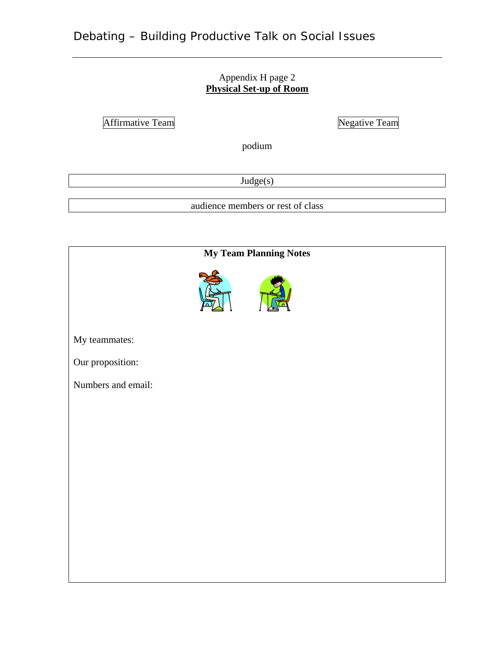#### Appendix H page 2 **Physical Set-up of Room**

Affirmative Team Negative Team

podium

Judge(s)

audience members or rest of class

|                    | <b>My Team Planning Notes</b> |  |
|--------------------|-------------------------------|--|
|                    |                               |  |
| My teammates:      |                               |  |
| Our proposition:   |                               |  |
| Numbers and email: |                               |  |
|                    |                               |  |
|                    |                               |  |
|                    |                               |  |
|                    |                               |  |
|                    |                               |  |
|                    |                               |  |
|                    |                               |  |
|                    |                               |  |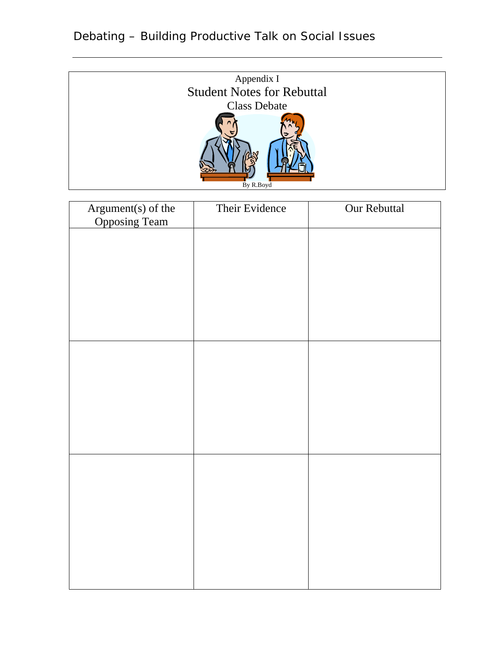

| Argument(s) of the<br>Opposing Team | Their Evidence | Our Rebuttal |
|-------------------------------------|----------------|--------------|
|                                     |                |              |
|                                     |                |              |
|                                     |                |              |
|                                     |                |              |
|                                     |                |              |
|                                     |                |              |
|                                     |                |              |
|                                     |                |              |
|                                     |                |              |
|                                     |                |              |
|                                     |                |              |
|                                     |                |              |
|                                     |                |              |
|                                     |                |              |
|                                     |                |              |
|                                     |                |              |
|                                     |                |              |
|                                     |                |              |
|                                     |                |              |
|                                     |                |              |
|                                     |                |              |

# Debating – Building Productive Talk on Social Issues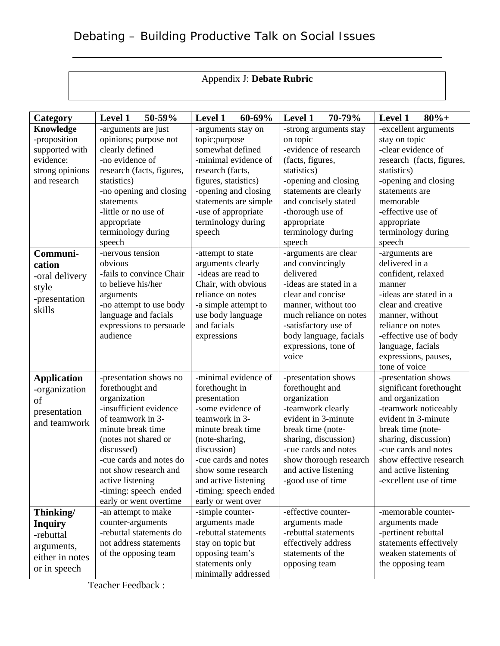## Appendix J: **Debate Rubric**

| Category           | 50-59%<br><b>Level 1</b>                 | 60-69%<br><b>Level 1</b>                | 70-79%<br><b>Level 1</b>      | $80%+$<br>Level 1                |
|--------------------|------------------------------------------|-----------------------------------------|-------------------------------|----------------------------------|
| Knowledge          | -arguments are just                      | -arguments stay on                      | -strong arguments stay        | -excellent arguments             |
| -proposition       | opinions; purpose not                    | topic;purpose                           | on topic                      | stay on topic                    |
| supported with     | clearly defined                          | somewhat defined                        | -evidence of research         | -clear evidence of               |
| evidence:          | -no evidence of                          | -minimal evidence of                    | (facts, figures,              | research (facts, figures,        |
| strong opinions    | research (facts, figures,                | research (facts,                        | statistics)                   | statistics)                      |
| and research       | statistics)                              | figures, statistics)                    | -opening and closing          | -opening and closing             |
|                    | -no opening and closing                  | -opening and closing                    | statements are clearly        | statements are                   |
|                    | statements                               | statements are simple                   | and concisely stated          | memorable                        |
|                    | -little or no use of                     | -use of appropriate                     | -thorough use of              | -effective use of                |
|                    | appropriate                              | terminology during                      | appropriate                   | appropriate                      |
|                    | terminology during                       | speech                                  | terminology during            | terminology during               |
|                    | speech                                   |                                         | speech                        | speech                           |
| Communi-           | -nervous tension                         | -attempt to state                       | -arguments are clear          | -arguments are<br>delivered in a |
| cation             | obvious<br>-fails to convince Chair      | arguments clearly<br>-ideas are read to | and convincingly<br>delivered |                                  |
| -oral delivery     | to believe his/her                       | Chair, with obvious                     | -ideas are stated in a        | confident, relaxed<br>manner     |
| style              | arguments                                | reliance on notes                       | clear and concise             | -ideas are stated in a           |
| -presentation      | -no attempt to use body                  | -a simple attempt to                    | manner, without too           | clear and creative               |
| skills             | language and facials                     | use body language                       | much reliance on notes        | manner, without                  |
|                    | expressions to persuade                  | and facials                             | -satisfactory use of          | reliance on notes                |
|                    | audience                                 | expressions                             | body language, facials        | -effective use of body           |
|                    |                                          |                                         | expressions, tone of          | language, facials                |
|                    |                                          |                                         | voice                         | expressions, pauses,             |
|                    |                                          |                                         |                               | tone of voice                    |
| <b>Application</b> | -presentation shows no                   | -minimal evidence of                    | -presentation shows           | -presentation shows              |
| -organization      | forethought and                          | forethought in                          | forethought and               | significant forethought          |
| of                 | organization                             | presentation                            | organization                  | and organization                 |
| presentation       | -insufficient evidence                   | -some evidence of                       | -teamwork clearly             | -teamwork noticeably             |
| and teamwork       | of teamwork in 3-                        | teamwork in 3-                          | evident in 3-minute           | evident in 3-minute              |
|                    | minute break time                        | minute break time                       | break time (note-             | break time (note-                |
|                    | (notes not shared or                     | (note-sharing,                          | sharing, discussion)          | sharing, discussion)             |
|                    | discussed)                               | discussion)                             | -cue cards and notes          | -cue cards and notes             |
|                    | -cue cards and notes do                  | -cue cards and notes                    | show thorough research        | show effective research          |
|                    | not show research and                    | show some research                      | and active listening          | and active listening             |
|                    | active listening                         | and active listening                    | -good use of time             | -excellent use of time           |
|                    | -timing: speech ended                    | -timing: speech ended                   |                               |                                  |
|                    | early or went overtime                   | early or went over<br>-simple counter-  | -effective counter-           | -memorable counter-              |
| Thinking/          | -an attempt to make<br>counter-arguments | arguments made                          | arguments made                | arguments made                   |
| <b>Inquiry</b>     | -rebuttal statements do                  | -rebuttal statements                    | -rebuttal statements          | -pertinent rebuttal              |
| -rebuttal          | not address statements                   | stay on topic but                       | effectively address           | statements effectively           |
| arguments,         | of the opposing team                     | opposing team's                         | statements of the             | weaken statements of             |
| either in notes    |                                          | statements only                         | opposing team                 | the opposing team                |
| or in speech       |                                          | minimally addressed                     |                               |                                  |

Teacher Feedback :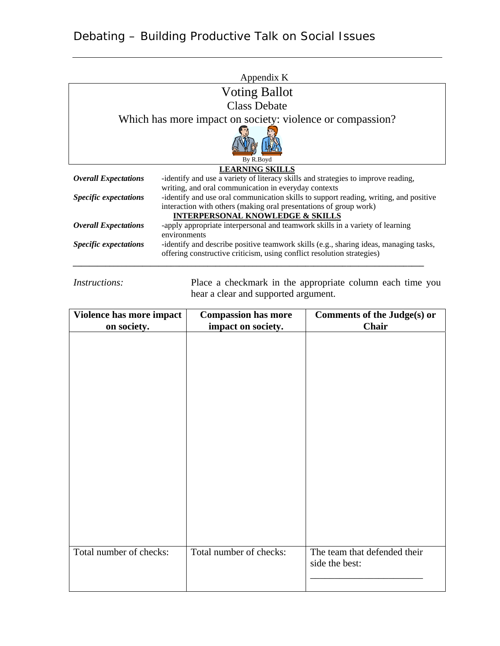| Appendix K                                                                                                   |                                                                                       |  |  |  |  |
|--------------------------------------------------------------------------------------------------------------|---------------------------------------------------------------------------------------|--|--|--|--|
|                                                                                                              | <b>Voting Ballot</b>                                                                  |  |  |  |  |
|                                                                                                              | <b>Class Debate</b>                                                                   |  |  |  |  |
| Which has more impact on society: violence or compassion?                                                    |                                                                                       |  |  |  |  |
| By R.Boyd                                                                                                    |                                                                                       |  |  |  |  |
|                                                                                                              | <b>LEARNING SKILLS</b>                                                                |  |  |  |  |
| <b>Overall Expectations</b>                                                                                  | -identify and use a variety of literacy skills and strategies to improve reading,     |  |  |  |  |
|                                                                                                              | writing, and oral communication in everyday contexts                                  |  |  |  |  |
| <i><b>Specific expectations</b></i>                                                                          | -identify and use oral communication skills to support reading, writing, and positive |  |  |  |  |
|                                                                                                              | interaction with others (making oral presentations of group work)                     |  |  |  |  |
|                                                                                                              | <b>INTERPERSONAL KNOWLEDGE &amp; SKILLS</b>                                           |  |  |  |  |
| -apply appropriate interpersonal and teamwork skills in a variety of learning<br><b>Overall Expectations</b> |                                                                                       |  |  |  |  |
|                                                                                                              | environments                                                                          |  |  |  |  |
| <b>Specific expectations</b>                                                                                 | -identify and describe positive teamwork skills (e.g., sharing ideas, managing tasks, |  |  |  |  |
|                                                                                                              | offering constructive criticism, using conflict resolution strategies)                |  |  |  |  |
|                                                                                                              |                                                                                       |  |  |  |  |

*Instructions:* Place a checkmark in the appropriate column each time you hear a clear and supported argument.

| Violence has more impact<br>on society. | <b>Compassion has more</b><br>impact on society. | <b>Comments of the Judge(s) or</b><br>Chair    |
|-----------------------------------------|--------------------------------------------------|------------------------------------------------|
|                                         |                                                  |                                                |
|                                         |                                                  |                                                |
|                                         |                                                  |                                                |
|                                         |                                                  |                                                |
|                                         |                                                  |                                                |
|                                         |                                                  |                                                |
|                                         |                                                  |                                                |
|                                         |                                                  |                                                |
|                                         |                                                  |                                                |
| Total number of checks:                 | Total number of checks:                          | The team that defended their<br>side the best: |
|                                         |                                                  |                                                |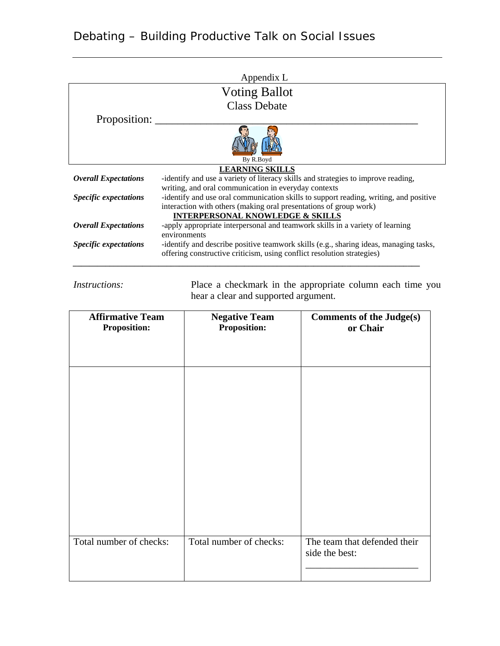## Appendix L Voting Ballot Class Debate Proposition: \_ By R.Boyd **LEARNING SKILLS** *Overall Expectations* -identify and use a variety of literacy skills and strategies to improve reading, writing, and oral communication in everyday contexts *Specific expectations* -identify and use oral communication skills to support reading, writing, and positive interaction with others (making oral presentations of group work) **INTERPERSONAL KNOWLEDGE & SKILLS** *Overall Expectations* -apply appropriate interpersonal and teamwork skills in a variety of learning environments

*Specific expectations* -identify and describe positive teamwork skills (e.g., sharing ideas, managing tasks,

*\_\_\_\_\_\_\_\_\_\_\_\_\_\_\_\_\_\_\_\_\_\_\_\_\_\_\_\_\_\_\_\_\_\_\_\_\_\_\_\_\_\_\_\_\_\_\_\_\_\_\_\_\_\_\_\_\_\_\_\_\_\_\_\_\_\_\_\_\_\_\_\_\_\_\_\_\_\_\_\_\_\_\_\_\_*

offering constructive criticism, using conflict resolution strategies)

## Debating – Building Productive Talk on Social Issues

*Instructions:* Place a checkmark in the appropriate column each time you hear a clear and supported argument.

| <b>Affirmative Team</b> | <b>Negative Team</b>    | <b>Comments of the Judge(s)</b> |
|-------------------------|-------------------------|---------------------------------|
| <b>Proposition:</b>     | <b>Proposition:</b>     | or Chair                        |
|                         |                         |                                 |
|                         |                         |                                 |
|                         |                         |                                 |
|                         |                         |                                 |
|                         |                         |                                 |
|                         |                         |                                 |
|                         |                         |                                 |
|                         |                         |                                 |
|                         |                         |                                 |
|                         |                         |                                 |
|                         |                         |                                 |
|                         |                         |                                 |
|                         |                         |                                 |
| Total number of checks: | Total number of checks: | The team that defended their    |
|                         |                         | side the best:                  |
|                         |                         |                                 |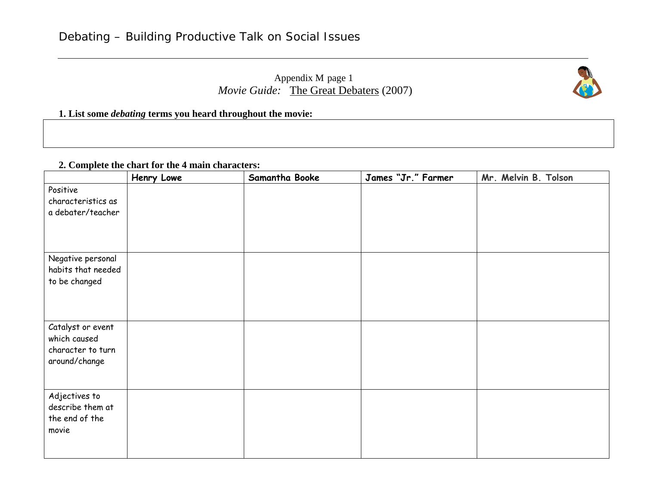## Appendix M page 1 *Movie Guide:* The Great Debaters (2007)



#### **1. List some** *debating* **terms you heard throughout the movie:**

#### **2. Complete the chart for the 4 main characters:**

|                                                                         | Henry Lowe | Samantha Booke | James "Jr." Farmer | Mr. Melvin B. Tolson |
|-------------------------------------------------------------------------|------------|----------------|--------------------|----------------------|
| Positive<br>characteristics as<br>a debater/teacher                     |            |                |                    |                      |
| Negative personal<br>habits that needed<br>to be changed                |            |                |                    |                      |
| Catalyst or event<br>which caused<br>character to turn<br>around/change |            |                |                    |                      |
| Adjectives to<br>describe them at<br>the end of the<br>movie            |            |                |                    |                      |